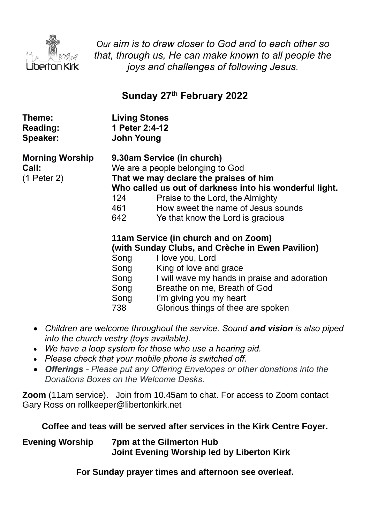

*Our aim is to draw closer to God and to each other so that, through us, He can make known to all people the joys and challenges of following Jesus.*

# **Sunday 27 th February 2022**

| Theme:                                         | <b>Living Stones</b>                                             |                                                                                                                                                                                                                                                                                                                                                                                                                                                                                                                                                                               |
|------------------------------------------------|------------------------------------------------------------------|-------------------------------------------------------------------------------------------------------------------------------------------------------------------------------------------------------------------------------------------------------------------------------------------------------------------------------------------------------------------------------------------------------------------------------------------------------------------------------------------------------------------------------------------------------------------------------|
| <b>Reading:</b>                                | 1 Peter 2:4-12                                                   |                                                                                                                                                                                                                                                                                                                                                                                                                                                                                                                                                                               |
| Speaker:                                       | <b>John Young</b>                                                |                                                                                                                                                                                                                                                                                                                                                                                                                                                                                                                                                                               |
| <b>Morning Worship</b><br>Call:<br>(1 Peter 2) | 124<br>461<br>642<br>Song<br>Song<br>Song<br>Song<br>Song<br>738 | 9.30am Service (in church)<br>We are a people belonging to God<br>That we may declare the praises of him<br>Who called us out of darkness into his wonderful light.<br>Praise to the Lord, the Almighty<br>How sweet the name of Jesus sounds<br>Ye that know the Lord is gracious<br>11am Service (in church and on Zoom)<br>(with Sunday Clubs, and Crèche in Ewen Pavilion)<br>I love you, Lord<br>King of love and grace<br>I will wave my hands in praise and adoration<br>Breathe on me, Breath of God<br>I'm giving you my heart<br>Glorious things of thee are spoken |

- *Children are welcome throughout the service. Sound and vision is also piped into the church vestry (toys available).*
- *We have a loop system for those who use a hearing aid.*
- *Please check that your mobile phone is switched off.*
- *Offerings - Please put any Offering Envelopes or other donations into the Donations Boxes on the Welcome Desks.*

**Zoom** (11am service).Join from 10.45am to chat. For access to Zoom contact Gary Ross on rollkeeper@libertonkirk.net

**Coffee and teas will be served after services in the Kirk Centre Foyer.**

**Evening Worship 7pm at the Gilmerton Hub Joint Evening Worship led by Liberton Kirk**

**For Sunday prayer times and afternoon see overleaf.**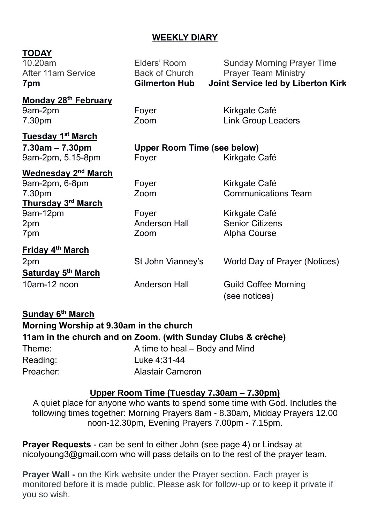# **WEEKLY DIARY**

| <b>TODAY</b><br>10.20am<br><b>After 11am Service</b><br>7pm                                                                   | Elders' Room<br><b>Back of Church</b><br><b>Gilmerton Hub</b> | <b>Sunday Morning Prayer Time</b><br><b>Prayer Team Ministry</b><br>Joint Service led by Liberton Kirk        |
|-------------------------------------------------------------------------------------------------------------------------------|---------------------------------------------------------------|---------------------------------------------------------------------------------------------------------------|
| <b>Monday 28th February</b><br>9am-2pm<br>7.30pm                                                                              | Foyer<br>Zoom                                                 | Kirkgate Café<br><b>Link Group Leaders</b>                                                                    |
| <b>Tuesday 1st March</b><br>$7.30$ am $-7.30$ pm<br>9am-2pm, 5.15-8pm                                                         | <b>Upper Room Time (see below)</b><br>Foyer                   | Kirkgate Café                                                                                                 |
| <b>Wednesday 2<sup>nd</sup> March</b><br>9am-2pm, 6-8pm<br>7.30pm<br>Thursday 3 <sup>rd</sup> March<br>9am-12pm<br>2pm<br>7pm | Foyer<br>Zoom<br>Foyer<br><b>Anderson Hall</b><br>Zoom        | Kirkgate Café<br><b>Communications Team</b><br>Kirkgate Café<br><b>Senior Citizens</b><br><b>Alpha Course</b> |
| Friday 4 <sup>th</sup> March<br>2pm<br><b>Saturday 5th March</b><br>10am-12 noon                                              | St John Vianney's<br><b>Anderson Hall</b>                     | World Day of Prayer (Notices)<br><b>Guild Coffee Morning</b><br>(see notices)                                 |
| $\mathbf{A}$ . I. Athensis .                                                                                                  |                                                               |                                                                                                               |

| Sunday 6 <sup>th</sup> March            |                                                              |  |  |  |
|-----------------------------------------|--------------------------------------------------------------|--|--|--|
| Morning Worship at 9.30am in the church |                                                              |  |  |  |
|                                         | 11am in the church and on Zoom. (with Sunday Clubs & crèche) |  |  |  |
| Theme:                                  | A time to heal – Body and Mind                               |  |  |  |
| Reading:                                | Luke 4:31-44                                                 |  |  |  |
| Preacher:                               | <b>Alastair Cameron</b>                                      |  |  |  |

# **Upper Room Time (Tuesday 7.30am – 7.30pm)**

A quiet place for anyone who wants to spend some time with God. Includes the following times together: Morning Prayers 8am - 8.30am, Midday Prayers 12.00 noon-12.30pm, Evening Prayers 7.00pm - 7.15pm.

**Prayer Requests** - can be sent to either John (see page 4) or Lindsay at [nicolyoung3@gmail.com](mailto:nicolyoung3@gmail.com) who will pass details on to the rest of the prayer team.

**Prayer Wall -** on the Kirk website under the Prayer section. Each prayer is monitored before it is made public. Please ask for follow-up or to keep it private if you so wish.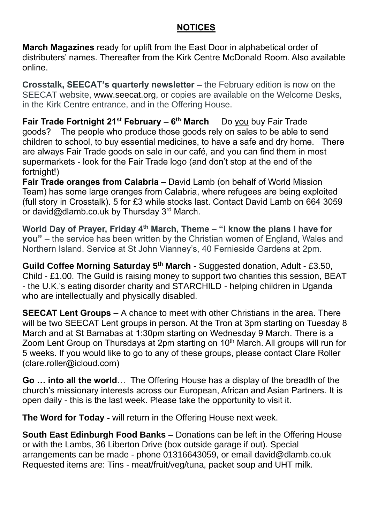# **NOTICES**

**March Magazines** ready for uplift from the East Door in alphabetical order of distributers' names. Thereafter from the Kirk Centre McDonald Room. Also available online.

**Crosstalk, SEECAT's quarterly newsletter –** the February edition is now on the SEECAT website, [www.seecat.org,](http://www.seecat.org/) or copies are available on the Welcome Desks, in the Kirk Centre entrance, and in the Offering House.

**Fair Trade Fortnight 21st February – 6 th March** Do you buy Fair Trade goods? The people who produce those goods rely on sales to be able to send children to school, to buy essential medicines, to have a safe and dry home. There are always Fair Trade goods on sale in our café, and you can find them in most supermarkets - look for the Fair Trade logo (and don't stop at the end of the fortnight!)

**Fair Trade oranges from Calabria –** David Lamb (on behalf of World Mission Team) has some large oranges from Calabria, where refugees are being exploited (full story in Crosstalk). 5 for £3 while stocks last. Contact David Lamb on 664 3059 or [david@dlamb.co.uk](mailto:david@dlamb.co.uk) by Thursday 3<sup>rd</sup> March.

**World Day of Prayer, Friday 4 th March, Theme – "I know the plans I have for you"** – the service has been written by the Christian women of England, Wales and Northern Island. Service at St John Vianney's, 40 Fernieside Gardens at 2pm.

**Guild Coffee Morning Saturday 5th March -** Suggested donation, Adult - £3.50, Child - £1.00. The Guild is raising money to support two charities this session, BEAT - the U.K.'s eating disorder charity and STARCHILD - helping children in Uganda who are intellectually and physically disabled.

**SEECAT Lent Groups –** A chance to meet with other Christians in the area. There will be two SEECAT Lent groups in person. At the Tron at 3pm starting on Tuesday 8 March and at St Barnabas at 1:30pm starting on Wednesday 9 March. There is a Zoom Lent Group on Thursdays at 2pm starting on 10<sup>th</sup> March. All groups will run for 5 weeks. If you would like to go to any of these groups, please contact Clare Roller [\(clare.roller@icloud.com\)](mailto:clare.roller@icloud.com)

**Go … into all the world**… The Offering House has a display of the breadth of the church's missionary interests across our European, African and Asian Partners. It is open daily - this is the last week. Please take the opportunity to visit it.

**The Word for Today -** will return in the Offering House next week.

**South East Edinburgh Food Banks –** Donations can be left in the Offering House or with the Lambs, 36 Liberton Drive (box outside garage if out). Special arrangements can be made - phone 01316643059, or email [david@dlamb.co.uk](mailto:david@dlamb.co.uk)  Requested items are: Tins - meat/fruit/veg/tuna, packet soup and UHT milk.